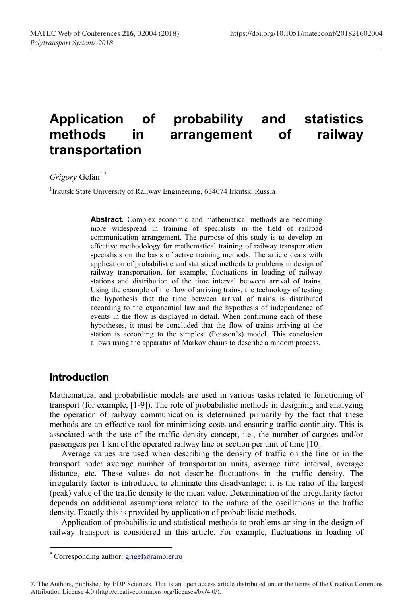# **Application of probability and statistics**  in arrangement of railway **transportation**

*Grigory* Gefan<sup>1,\*</sup>

<sup>1</sup>Irkutsk State University of Railway Engineering, 634074 Irkutsk, Russia

**Abstract.** Complex economic and mathematical methods are becoming more widespread in training of specialists in the field of railroad communication arrangement. The purpose of this study is to develop an effective methodology for mathematical training of railway transportation specialists on the basis of active training methods. The article deals with application of probabilistic and statistical methods to problems in design of railway transportation, for example, fluctuations in loading of railway stations and distribution of the time interval between arrival of trains. Using the example of the flow of arriving trains, the technology of testing the hypothesis that the time between arrival of trains is distributed according to the exponential law and the hypothesis of independence of events in the flow is displayed in detail. When confirming each of these hypotheses, it must be concluded that the flow of trains arriving at the station is according to the simplest (Poisson's) model. This conclusion allows using the apparatus of Markov chains to describe a random process.

#### **Introduction**

Mathematical and probabilistic models are used in various tasks related to functioning of transport (for example, [1-9]). The role of probabilistic methods in designing and analyzing the operation of railway communication is determined primarily by the fact that these methods are an effective tool for minimizing costs and ensuring traffic continuity. This is associated with the use of the traffic density concept, i.e., the number of cargoes and/or passengers per 1 km of the operated railway line or section per unit of time [10].

Average values are used when describing the density of traffic on the line or in the transport node: average number of transportation units, average time interval, average distance, etc. These values do not describe fluctuations in the traffic density. The irregularity factor is introduced to eliminate this disadvantage: it is the ratio of the largest (peak) value of the traffic density to the mean value. Determination of the irregularity factor depends on additional assumptions related to the nature of the oscillations in the traffic density. Exactly this is provided by application of probabilistic methods.

Application of probabilistic and statistical methods to problems arising in the design of railway transport is considered in this article. For example, fluctuations in loading of

 <sup>\*</sup> Corresponding author: grigef@rambler.ru

<sup>©</sup> The Authors, published by EDP Sciences. This is an open access article distributed under the terms of the Creative Commons Attribution License 4.0 (http://creativecommons.org/licenses/by/4.0/).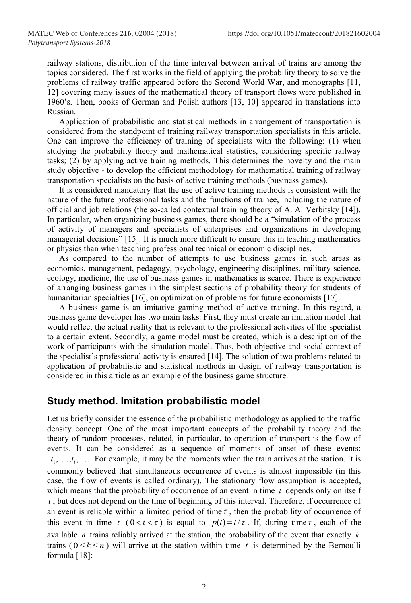railway stations, distribution of the time interval between arrival of trains are among the topics considered. The first works in the field of applying the probability theory to solve the problems of railway traffic appeared before the Second World War, and monographs [11, 12] covering many issues of the mathematical theory of transport flows were published in 1960's. Then, books of German and Polish authors [13, 10] appeared in translations into Russian.

Application of probabilistic and statistical methods in arrangement of transportation is considered from the standpoint of training railway transportation specialists in this article. One can improve the efficiency of training of specialists with the following: (1) when studying the probability theory and mathematical statistics, considering specific railway tasks; (2) by applying active training methods. This determines the novelty and the main study objective - to develop the efficient methodology for mathematical training of railway transportation specialists on the basis of active training methods (business games).

It is considered mandatory that the use of active training methods is consistent with the nature of the future professional tasks and the functions of trainee, including the nature of official and job relations (the so-called contextual training theory of A. A. Verbitsky [14]). In particular, when organizing business games, there should be a "simulation of the process of activity of managers and specialists of enterprises and organizations in developing managerial decisions" [15]. It is much more difficult to ensure this in teaching mathematics or physics than when teaching professional technical or economic disciplines.

As compared to the number of attempts to use business games in such areas as economics, management, pedagogy, psychology, engineering disciplines, military science, ecology, medicine, the use of business games in mathematics is scarce. There is experience of arranging business games in the simplest sections of probability theory for students of humanitarian specialties [16], on optimization of problems for future economists [17].

A business game is an imitative gaming method of active training. In this regard, a business game developer has two main tasks. First, they must create an imitation model that would reflect the actual reality that is relevant to the professional activities of the specialist to a certain extent. Secondly, a game model must be created, which is a description of the work of participants with the simulation model. Thus, both objective and social context of the specialist's professional activity is ensured [14]. The solution of two problems related to application of probabilistic and statistical methods in design of railway transportation is considered in this article as an example of the business game structure.

### **Study method. Imitation probabilistic model**

Let us briefly consider the essence of the probabilistic methodology as applied to the traffic density concept. One of the most important concepts of the probability theory and the theory of random processes, related, in particular, to operation of transport is the flow of events. It can be considered as a sequence of moments of onset of these events:  $t_1, \ldots, t_i, \ldots$  For example, it may be the moments when the train arrives at the station. It is commonly believed that simultaneous occurrence of events is almost impossible (in this case, the flow of events is called ordinary). The stationary flow assumption is accepted, which means that the probability of occurrence of an event in time  $t_1$  depends only on itself *t* , but does not depend on the time of beginning of this interval. Therefore, if occurrence of an event is reliable within a limited period of time  $\tau$ , then the probability of occurrence of this event in time *t*  $(0 < t < \tau)$  is equal to  $p(t) = t/\tau$ . If, during time  $\tau$ , each of the available *n* trains reliably arrived at the station, the probability of the event that exactly *k* trains ( $0 \le k \le n$ ) will arrive at the station within time t is determined by the Bernoulli formula [18]: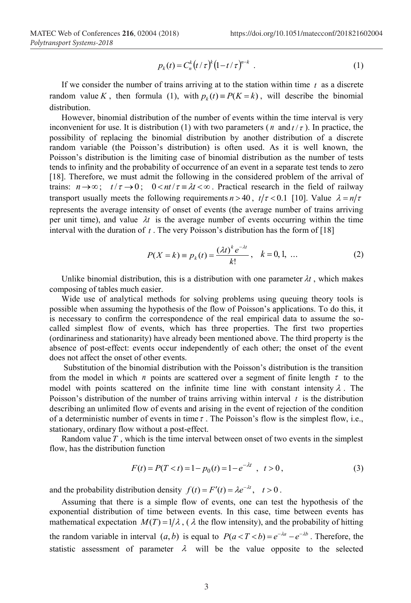$$
p_k(t) = C_n^k (t/\tau)^k (1-t/\tau)^{n-k} . \tag{1}
$$

If we consider the number of trains arriving at to the station within time  $t$  as a discrete random value *K*, then formula (1), with  $p_k(t) \equiv P(K = k)$ , will describe the binomial distribution.

However, binomial distribution of the number of events within the time interval is very inconvenient for use. It is distribution (1) with two parameters ( $n$  and  $t/\tau$ ). In practice, the possibility of replacing the binomial distribution by another distribution of a discrete random variable (the Poisson's distribution) is often used. As it is well known, the Poisson's distribution is the limiting case of binomial distribution as the number of tests tends to infinity and the probability of occurrence of an event in a separate test tends to zero [18]. Therefore, we must admit the following in the considered problem of the arrival of trains:  $n \rightarrow \infty$ ;  $t/\tau \rightarrow 0$ ;  $0 < nt/\tau = \lambda t < \infty$ . Practical research in the field of railway transport usually meets the following requirements  $n > 40$ ,  $t/\tau < 0.1$  [10]. Value  $\lambda = n/\tau$ represents the average intensity of onset of events (the average number of trains arriving per unit time), and value  $\lambda t$  is the average number of events occurring within the time interval with the duration of *t* . The very Poisson's distribution has the form of [18]

$$
P(X = k) = p_k(t) = \frac{(\lambda t)^k e^{-\lambda t}}{k!}, \quad k = 0, 1, ...
$$
 (2)

Unlike binomial distribution, this is a distribution with one parameter  $\lambda t$ , which makes composing of tables much easier.

Wide use of analytical methods for solving problems using queuing theory tools is possible when assuming the hypothesis of the flow of Poisson's applications. To do this, it is necessary to confirm the correspondence of the real empirical data to assume the socalled simplest flow of events, which has three properties. The first two properties (ordinariness and stationarity) have already been mentioned above. The third property is the absence of post-effect: events occur independently of each other; the onset of the event does not affect the onset of other events.

Substitution of the binomial distribution with the Poisson's distribution is the transition from the model in which  $n$  points are scattered over a segment of finite length  $\tau$  to the model with points scattered on the infinite time line with constant intensity  $\lambda$ . The Poisson's distribution of the number of trains arriving within interval *t* is the distribution describing an unlimited flow of events and arising in the event of rejection of the condition of a deterministic number of events in time  $\tau$ . The Poisson's flow is the simplest flow, i.e., stationary, ordinary flow without a post-effect.

Random value *T* , which is the time interval between onset of two events in the simplest flow, has the distribution function

$$
F(t) = P(T < t) = 1 - p_0(t) = 1 - e^{-\lambda t} \quad t > 0 \,,\tag{3}
$$

and the probability distribution density  $f(t) = F'(t) = \lambda e^{-\lambda t}$ ,  $t > 0$ .

Assuming that there is a simple flow of events, one can test the hypothesis of the exponential distribution of time between events. In this case, time between events has mathematical expectation  $M(T) = 1/\lambda$ , ( $\lambda$  the flow intensity), and the probability of hitting the random variable in interval  $(a, b)$  is equal to  $P(a < T < b) = e^{-\lambda a} - e^{-\lambda b}$ . Therefore, the statistic assessment of parameter  $\lambda$  will be the value opposite to the selected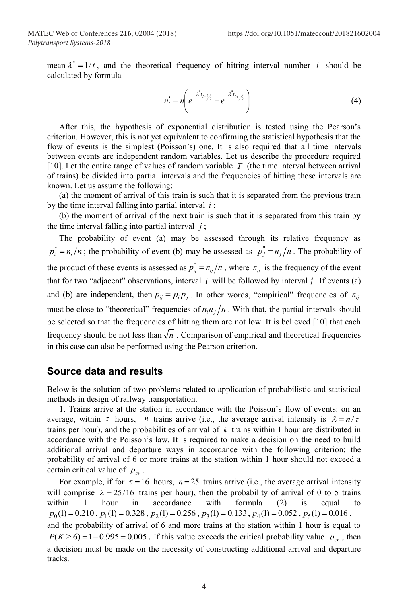mean  $\lambda^* = 1/t$ , and the theoretical frequency of hitting interval number *i* should be calculated by formula

$$
n'_{i} = n \bigg( e^{-\lambda^{*} t_{i-1} t_{i}} - e^{-\lambda^{*} t_{i+1} t_{i}} \bigg).
$$
 (4)

After this, the hypothesis of exponential distribution is tested using the Pearson's criterion. However, this is not yet equivalent to confirming the statistical hypothesis that the flow of events is the simplest (Poisson's) one. It is also required that all time intervals between events are independent random variables. Let us describe the procedure required [10]. Let the entire range of values of random variable *T* (the time interval between arrival of trains) be divided into partial intervals and the frequencies of hitting these intervals are known. Let us assume the following:

(a) the moment of arrival of this train is such that it is separated from the previous train by the time interval falling into partial interval *i* ;

(b) the moment of arrival of the next train is such that it is separated from this train by the time interval falling into partial interval  $j$ ;

The probability of event (a) may be assessed through its relative frequency as  $p_i^* = n_i/n$ ; the probability of event (b) may be assessed as  $p_j^* = n_j/n$ . The probability of the product of these events is assessed as  $p_{ij}^* = n_{ij}/n$ , where  $n_{ij}$  is the frequency of the event that for two "adjacent" observations, interval *i* will be followed by interval *j* . If events (a) and (b) are independent, then  $p_{ij} = p_i p_j$ . In other words, "empirical" frequencies of  $n_{ij}$ must be close to "theoretical" frequencies of  $n_i n_j/n$ . With that, the partial intervals should be selected so that the frequencies of hitting them are not low. It is believed [10] that each frequency should be not less than  $\sqrt{n}$ . Comparison of empirical and theoretical frequencies in this case can also be performed using the Pearson criterion.

#### **Source data and results**

Below is the solution of two problems related to application of probabilistic and statistical methods in design of railway transportation.

1. Trains arrive at the station in accordance with the Poisson's flow of events: on an average, within  $\tau$  hours, *n* trains arrive (i.e., the average arrival intensity is  $\lambda = n/\tau$ trains per hour), and the probabilities of arrival of *k* trains within 1 hour are distributed in accordance with the Poisson's law. It is required to make a decision on the need to build additional arrival and departure ways in accordance with the following criterion: the probability of arrival of 6 or more trains at the station within 1 hour should not exceed a certain critical value of  $p_{cr}$ .

For example, if for  $\tau = 16$  hours,  $n = 25$  trains arrive (i.e., the average arrival intensity will comprise  $\lambda = 25/16$  trains per hour), then the probability of arrival of 0 to 5 trains within 1 hour in accordance with formula (2) is equal to  $p_0(1) = 0.210$ ,  $p_1(1) = 0.328$ ,  $p_2(1) = 0.256$ ,  $p_3(1) = 0.133$ ,  $p_4(1) = 0.052$ ,  $p_5(1) = 0.016$ , and the probability of arrival of 6 and more trains at the station within 1 hour is equal to  $P(K \ge 6) = 1 - 0.995 = 0.005$ . If this value exceeds the critical probability value  $p_{cr}$ , then a decision must be made on the necessity of constructing additional arrival and departure tracks.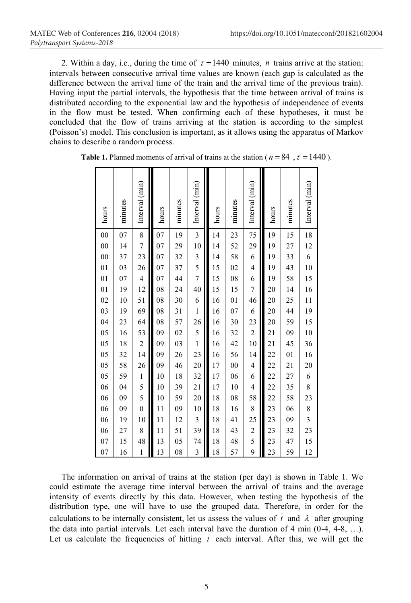2. Within a day, i.e., during the time of  $\tau = 1440$  minutes, *n* trains arrive at the station: intervals between consecutive arrival time values are known (each gap is calculated as the difference between the arrival time of the train and the arrival time of the previous train). Having input the partial intervals, the hypothesis that the time between arrival of trains is distributed according to the exponential law and the hypothesis of independence of events in the flow must be tested. When confirming each of these hypotheses, it must be concluded that the flow of trains arriving at the station is according to the simplest (Poisson's) model. This conclusion is important, as it allows using the apparatus of Markov chains to describe a random process.

| hours  | minutes | Interval (min) | hours | minutes | Interval (min)          | hours | minutes | Interval (min)          | hours           | minutes | Interval (min) |
|--------|---------|----------------|-------|---------|-------------------------|-------|---------|-------------------------|-----------------|---------|----------------|
| $00\,$ | 07      | 8              | 07    | 19      | 3                       | 14    | 23      | 75                      | 19              | 15      | 18             |
| $00\,$ | 14      | $\overline{7}$ | 07    | 29      | 10                      | 14    | 52      | 29                      | 19              | 27      | 12             |
| $00\,$ | 37      | 23             | 07    | 32      | $\mathfrak{Z}$          | 14    | 58      | 6                       | 19              | 33      | 6              |
| 01     | 03      | 26             | 07    | 37      | 5                       | 15    | 02      | $\overline{4}$          | 19              | 43      | 10             |
| 01     | 07      | $\overline{4}$ | 07    | 44      | $\overline{7}$          | 15    | 08      | 6                       | 19              | 58      | 15             |
| 01     | 19      | 12             | 08    | 24      | 40                      | 15    | 15      | $\overline{7}$          | 20              | 14      | 16             |
| 02     | 10      | 51             | 08    | 30      | 6                       | 16    | 01      | 46                      | 20              | 25      | 11             |
| 03     | 19      | 69             | 08    | 31      | $\mathbf{1}$            | 16    | 07      | 6                       | 20              | 44      | 19             |
| 04     | 23      | 64             | 08    | 57      | 26                      | 16    | 30      | 23                      | 20              | 59      | 15             |
| 05     | 16      | 53             | 09    | 02      | 5                       | 16    | 32      | $\overline{c}$          | $\overline{21}$ | 09      | 10             |
| 05     | 18      | $\sqrt{2}$     | 09    | 03      | $\mathbf{1}$            | 16    | 42      | 10                      | $\overline{21}$ | 45      | 36             |
| 05     | 32      | 14             | 09    | 26      | 23                      | 16    | 56      | 14                      | 22              | 01      | 16             |
| 05     | 58      | 26             | 09    | 46      | 20                      | 17    | $00\,$  | $\overline{4}$          | 22              | 21      | 20             |
| 05     | 59      | $\mathbf{1}$   | 10    | 18      | 32                      | 17    | 06      | 6                       | 22              | 27      | 6              |
| 06     | 04      | 5              | 10    | 39      | 21                      | 17    | 10      | $\overline{4}$          | 22              | 35      | 8              |
| 06     | 09      | 5              | 10    | 59      | 20                      | 18    | 08      | 58                      | 22              | 58      | 23             |
| 06     | 09      | $\overline{0}$ | 11    | 09      | 10                      | 18    | 16      | 8                       | 23              | 06      | 8              |
| 06     | 19      | 10             | 11    | 12      | $\overline{\mathbf{3}}$ | 18    | 41      | 25                      | 23              | 09      | $\mathfrak{Z}$ |
| 06     | 27      | 8              | 11    | 51      | 39                      | 18    | 43      | $\overline{\mathbf{c}}$ | 23              | 32      | 23             |
| 07     | 15      | 48             | 13    | 05      | 74                      | 18    | 48      | 5                       | 23              | 47      | 15             |
| 07     | 16      | $\mathbf{1}$   | 13    | 08      | $\overline{\mathbf{3}}$ | 18    | 57      | 9                       | 23              | 59      | 12             |

**Table 1.** Planned moments of arrival of trains at the station ( $n = 84$ ,  $\tau = 1440$ ).

The information on arrival of trains at the station (per day) is shown in Table 1. We could estimate the average time interval between the arrival of trains and the average intensity of events directly by this data. However, when testing the hypothesis of the distribution type, one will have to use the grouped data. Therefore, in order for the calculations to be internally consistent, let us assess the values of  $\overline{t}$  and  $\lambda$  after grouping the data into partial intervals. Let each interval have the duration of 4 min  $(0-4, 4-8, \ldots)$ . Let us calculate the frequencies of hitting  $t$  each interval. After this, we will get the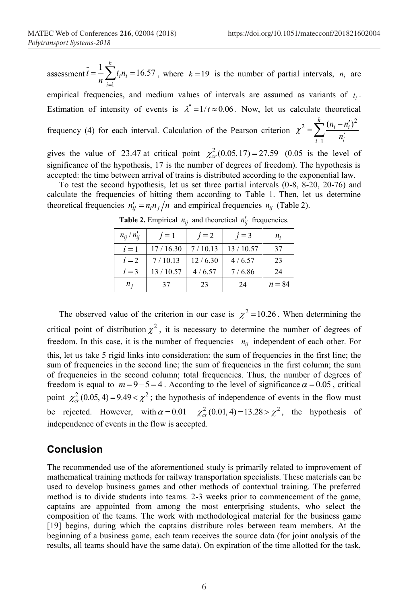assessment  $\bar{t} = \frac{1}{n} \sum_{i=1}^{k} t_i n_i = 16.57$ 1  $=$ *i*  $t = -\frac{1}{n} \sum_{i=1}^{n} t_i n_i = 16.57$ , where  $k = 19$  is the number of partial intervals,  $n_i$  are

empirical frequencies, and medium values of intervals are assumed as variants of  $t_i$ . Estimation of intensity of events is  $\lambda^* = 1/\overline{t} \approx 0.06$ . Now, let us calculate theoretical frequency (4) for each interval. Calculation of the Pearson criterion  $\chi^2 = \sum_{i=1}^k \frac{(n_i - n'_i)^2}{n'_i}$  $i=1$   $\cdots$  $i - n_i$ *n*  $\chi^{2} = \sum_{i}^{k} \frac{(n_{i} - n_{i}')^{2}}{l}$ 1

gives the value of 23.47 at critical point  $\chi^2_{cr}$  (0.05,17) = 27.59 (0.05 is the level of significance of the hypothesis, 17 is the number of degrees of freedom). The hypothesis is accepted: the time between arrival of trains is distributed according to the exponential law.

To test the second hypothesis, let us set three partial intervals (0-8, 8-20, 20-76) and calculate the frequencies of hitting them according to Table 1. Then, let us determine theoretical frequencies  $n'_{ii} = n_i n_i/n$  and empirical frequencies  $n_{ii}$  (Table 2).

| $n_{ii}/n'_{ii}$ | $i=1$    | $i = 2$ | $j=3$    | $n_i$    |
|------------------|----------|---------|----------|----------|
| $i=1$            | 17/16.30 | 7/10.13 | 13/10.57 | 37       |
| $i=2$            | 7/10.13  | 12/6.30 | 4/6.57   | 23       |
| $i=3$            | 13/10.57 | 4/6.57  | 7/6.86   | 24       |
| $n_i$            | 37       | 23      | 24       | $n = 84$ |

**Table 2.** Empirical  $n_{ij}$  and theoretical  $n'_{ij}$  frequencies.

The observed value of the criterion in our case is  $\chi^2 = 10.26$ . When determining the critical point of distribution  $\chi^2$ , it is necessary to determine the number of degrees of freedom. In this case, it is the number of frequencies  $n_{ij}$  independent of each other. For this, let us take 5 rigid links into consideration: the sum of frequencies in the first line; the sum of frequencies in the second line; the sum of frequencies in the first column; the sum of frequencies in the second column; total frequencies. Thus, the number of degrees of freedom is equal to  $m = 9-5 = 4$ . According to the level of significance  $\alpha = 0.05$ , critical point  $\chi^2_{cr}$  (0.05, 4) = 9.49 <  $\chi^2$ ; the hypothesis of independence of events in the flow must be rejected. However, with  $\alpha = 0.01$   $\chi^2_{cr}(0.01, 4) = 13.28 > \chi^2$ , the hypothesis of independence of events in the flow is accepted.

#### **Conclusion**

The recommended use of the aforementioned study is primarily related to improvement of mathematical training methods for railway transportation specialists. These materials can be used to develop business games and other methods of contextual training. The preferred method is to divide students into teams. 2-3 weeks prior to commencement of the game, captains are appointed from among the most enterprising students, who select the composition of the teams. The work with methodological material for the business game [19] begins, during which the captains distribute roles between team members. At the beginning of a business game, each team receives the source data (for joint analysis of the results, all teams should have the same data). On expiration of the time allotted for the task,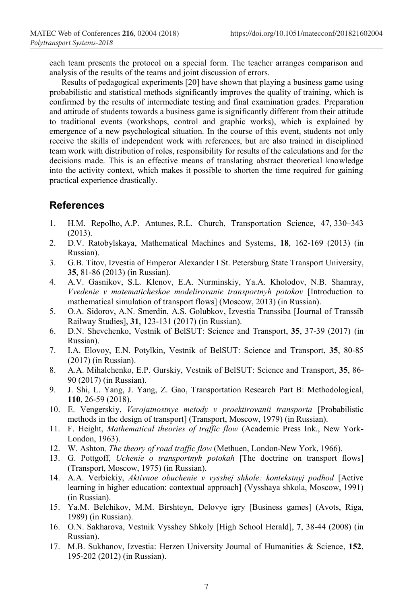each team presents the protocol on a special form. The teacher arranges comparison and analysis of the results of the teams and joint discussion of errors.

Results of pedagogical experiments [20] have shown that playing a business game using probabilistic and statistical methods significantly improves the quality of training, which is confirmed by the results of intermediate testing and final examination grades. Preparation and attitude of students towards a business game is significantly different from their attitude to traditional events (workshops, control and graphic works), which is explained by emergence of a new psychological situation. In the course of this event, students not only receive the skills of independent work with references, but are also trained in disciplined team work with distribution of roles, responsibility for results of the calculations and for the decisions made. This is an effective means of translating abstract theoretical knowledge into the activity context, which makes it possible to shorten the time required for gaining practical experience drastically.

## **References**

- 1. H.M. Repolho, A.P. Antunes, R.L. Church, Transportation Science, 47, 330–343 (2013).
- 2. D.V. Ratobylskaya, Mathematical Machines and Systems, **18**, 162-169 (2013) (in Russian).
- 3. G.B. Titov, Izvestia of Emperor Alexander I St. Petersburg State Transport University, **35**, 81-86 (2013) (in Russian).
- 4. A.V. Gasnikov, S.L. Klenov, E.A. Nurminskiy, Ya.A. Kholodov, N.B. Shamray, *Vvedenie v matematicheskoe modelirovanie transportnyh potokov* [Introduction to mathematical simulation of transport flows] (Moscow, 2013) (in Russian).
- 5. O.A. Sidorov, A.N. Smerdin, A.S. Golubkov, Izvestia Transsiba [Journal of Transsib Railway Studies], **31**, 123-131 (2017) (in Russian).
- 6. D.N. Shevchenko, Vestnik of BelSUT: Science and Transport, **35**, 37-39 (2017) (in Russian).
- 7. I.A. Elovoy, E.N. Potylkin, Vestnik of BelSUT: Science and Transport, **35**, 80-85 (2017) (in Russian).
- 8. A.A. Mihalchenko, E.P. Gurskiy, Vestnik of BelSUT: Science and Transport, **35**, 86- 90 (2017) (in Russian).
- 9. J. Shi, L. Yang, J. Yang, Z. Gao, Transportation Research Part B: Methodological, **110**, 26-59 (2018).
- 10. E. Vengerskiy, *Verojatnostnye metody v proektirovanii transporta* [Probabilistic methods in the design of transport] (Transport, Moscow, 1979) (in Russian).
- 11. F. Height, *Mathematical theories of traffic flow* (Academic Press Ink., New York-London, 1963).
- 12. W. Ashton*, The theory of road traffic flow* (Methuen, London-New York, 1966).
- 13. G. Pottgoff, *Uchenie o transportnyh potokah* [The doctrine on transport flows] (Transport, Moscow, 1975) (in Russian).
- 14. A.A. Verbickiy, *Aktivnoe obuchenie v vysshej shkole: kontekstnyj podhod* [Active learning in higher education: contextual approach] (Vysshaya shkola, Moscow, 1991) (in Russian).
- 15. Ya.M. Belchikov, M.M. Birshteyn, Delovye igry [Business games] (Avots, Riga, 1989) (in Russian).
- 16. O.N. Sakharova, Vestnik Vysshey Shkoly [High School Herald], **7**, 38-44 (2008) (in Russian).
- 17. M.B. Sukhanov, Izvestia: Herzen University Journal of Humanities & Science, **152**, 195-202 (2012) (in Russian).